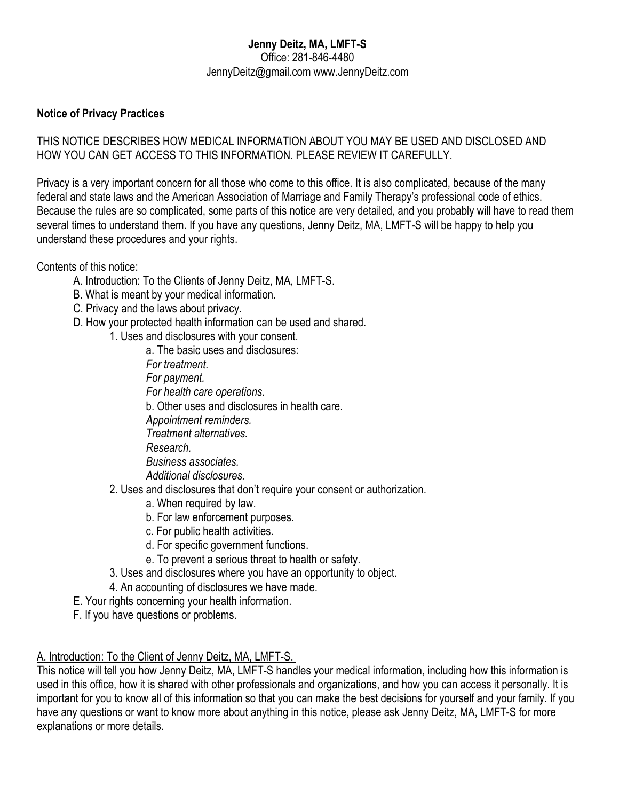# **Jenny Deitz, MA, LMFT-S** Office: 281-846-4480 JennyDeitz@gmail.com www.JennyDeitz.com

### **Notice of Privacy Practices**

THIS NOTICE DESCRIBES HOW MEDICAL INFORMATION ABOUT YOU MAY BE USED AND DISCLOSED AND HOW YOU CAN GET ACCESS TO THIS INFORMATION. PLEASE REVIEW IT CAREFULLY.

Privacy is a very important concern for all those who come to this office. It is also complicated, because of the many federal and state laws and the American Association of Marriage and Family Therapy's professional code of ethics. Because the rules are so complicated, some parts of this notice are very detailed, and you probably will have to read them several times to understand them. If you have any questions, Jenny Deitz, MA, LMFT-S will be happy to help you understand these procedures and your rights.

Contents of this notice:

- A. Introduction: To the Clients of Jenny Deitz, MA, LMFT-S.
- B. What is meant by your medical information.
- C. Privacy and the laws about privacy.
- D. How your protected health information can be used and shared.
	- 1. Uses and disclosures with your consent.
		- a. The basic uses and disclosures:
		- *For treatment.*
		- *For payment.*
		- *For health care operations.*
		- b. Other uses and disclosures in health care.
		- *Appointment reminders.*
		- *Treatment alternatives.*
		- *Research.*
		- *Business associates.*
		- *Additional disclosures.*
	- 2. Uses and disclosures that don't require your consent or authorization.
		- a. When required by law.
		- b. For law enforcement purposes.
		- c. For public health activities.
		- d. For specific government functions.
		- e. To prevent a serious threat to health or safety.
	- 3. Uses and disclosures where you have an opportunity to object.
	- 4. An accounting of disclosures we have made.
- E. Your rights concerning your health information.
- F. If you have questions or problems.

### A. Introduction: To the Client of Jenny Deitz, MA, LMFT-S.

This notice will tell you how Jenny Deitz, MA, LMFT-S handles your medical information, including how this information is used in this office, how it is shared with other professionals and organizations, and how you can access it personally. It is important for you to know all of this information so that you can make the best decisions for yourself and your family. If you have any questions or want to know more about anything in this notice, please ask Jenny Deitz, MA, LMFT-S for more explanations or more details.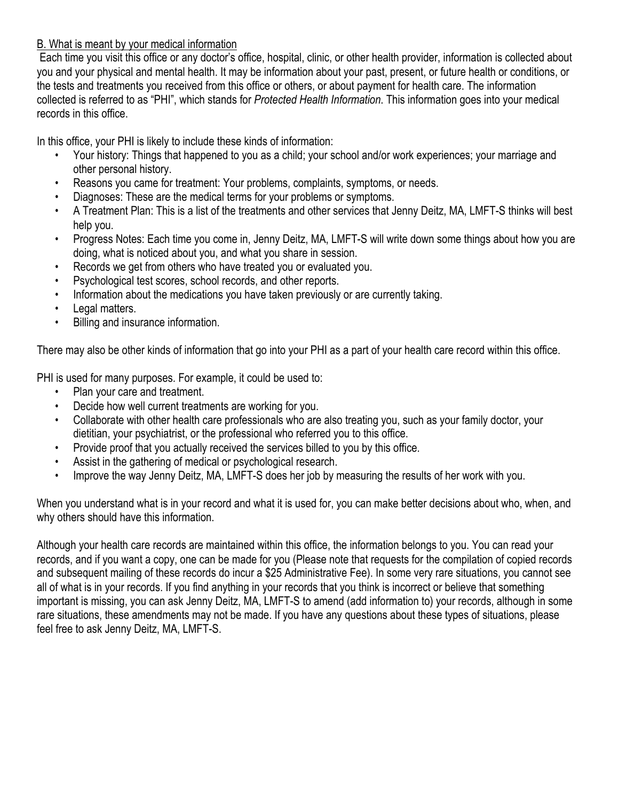# B. What is meant by your medical information

Each time you visit this office or any doctor's office, hospital, clinic, or other health provider, information is collected about you and your physical and mental health. It may be information about your past, present, or future health or conditions, or the tests and treatments you received from this office or others, or about payment for health care. The information collected is referred to as "PHI", which stands for *Protected Health Information*. This information goes into your medical records in this office.

In this office, your PHI is likely to include these kinds of information:

- Your history: Things that happened to you as a child; your school and/or work experiences; your marriage and other personal history.
- Reasons you came for treatment: Your problems, complaints, symptoms, or needs.
- Diagnoses: These are the medical terms for your problems or symptoms.
- A Treatment Plan: This is a list of the treatments and other services that Jenny Deitz, MA, LMFT-S thinks will best help you.
- Progress Notes: Each time you come in, Jenny Deitz, MA, LMFT-S will write down some things about how you are doing, what is noticed about you, and what you share in session.
- Records we get from others who have treated you or evaluated you.
- Psychological test scores, school records, and other reports.
- Information about the medications you have taken previously or are currently taking.
- Legal matters.
- Billing and insurance information.

There may also be other kinds of information that go into your PHI as a part of your health care record within this office.

PHI is used for many purposes. For example, it could be used to:

- Plan your care and treatment.
- Decide how well current treatments are working for you.
- Collaborate with other health care professionals who are also treating you, such as your family doctor, your dietitian, your psychiatrist, or the professional who referred you to this office.
- Provide proof that you actually received the services billed to you by this office.
- Assist in the gathering of medical or psychological research.
- Improve the way Jenny Deitz, MA, LMFT-S does her job by measuring the results of her work with you.

When you understand what is in your record and what it is used for, you can make better decisions about who, when, and why others should have this information.

Although your health care records are maintained within this office, the information belongs to you. You can read your records, and if you want a copy, one can be made for you (Please note that requests for the compilation of copied records and subsequent mailing of these records do incur a \$25 Administrative Fee). In some very rare situations, you cannot see all of what is in your records. If you find anything in your records that you think is incorrect or believe that something important is missing, you can ask Jenny Deitz, MA, LMFT-S to amend (add information to) your records, although in some rare situations, these amendments may not be made. If you have any questions about these types of situations, please feel free to ask Jenny Deitz, MA, LMFT-S.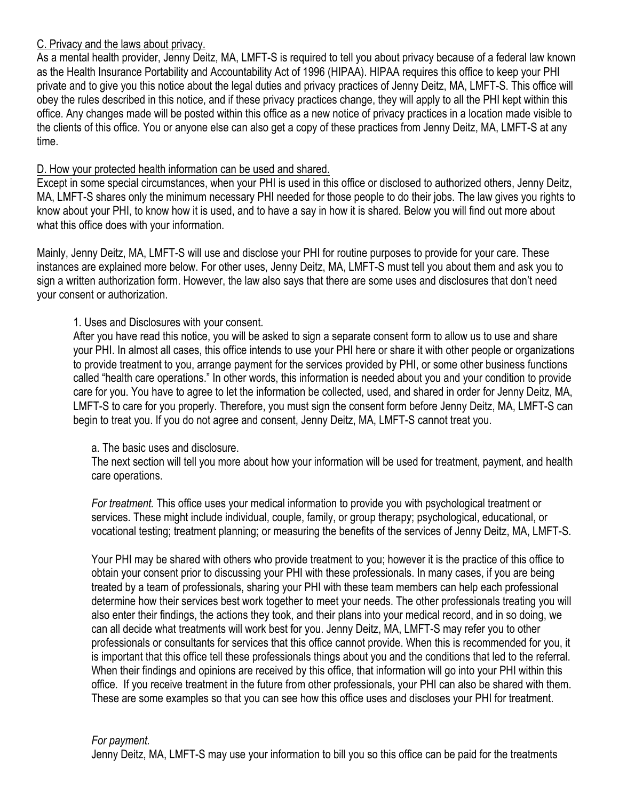## C. Privacy and the laws about privacy.

As a mental health provider, Jenny Deitz, MA, LMFT-S is required to tell you about privacy because of a federal law known as the Health Insurance Portability and Accountability Act of 1996 (HIPAA). HIPAA requires this office to keep your PHI private and to give you this notice about the legal duties and privacy practices of Jenny Deitz, MA, LMFT-S. This office will obey the rules described in this notice, and if these privacy practices change, they will apply to all the PHI kept within this office. Any changes made will be posted within this office as a new notice of privacy practices in a location made visible to the clients of this office. You or anyone else can also get a copy of these practices from Jenny Deitz, MA, LMFT-S at any time.

## D. How your protected health information can be used and shared.

Except in some special circumstances, when your PHI is used in this office or disclosed to authorized others, Jenny Deitz, MA, LMFT-S shares only the minimum necessary PHI needed for those people to do their jobs. The law gives you rights to know about your PHI, to know how it is used, and to have a say in how it is shared. Below you will find out more about what this office does with your information.

Mainly, Jenny Deitz, MA, LMFT-S will use and disclose your PHI for routine purposes to provide for your care. These instances are explained more below. For other uses, Jenny Deitz, MA, LMFT-S must tell you about them and ask you to sign a written authorization form. However, the law also says that there are some uses and disclosures that don't need your consent or authorization.

# 1. Uses and Disclosures with your consent.

After you have read this notice, you will be asked to sign a separate consent form to allow us to use and share your PHI. In almost all cases, this office intends to use your PHI here or share it with other people or organizations to provide treatment to you, arrange payment for the services provided by PHI, or some other business functions called "health care operations." In other words, this information is needed about you and your condition to provide care for you. You have to agree to let the information be collected, used, and shared in order for Jenny Deitz, MA, LMFT-S to care for you properly. Therefore, you must sign the consent form before Jenny Deitz, MA, LMFT-S can begin to treat you. If you do not agree and consent, Jenny Deitz, MA, LMFT-S cannot treat you.

### a. The basic uses and disclosure.

The next section will tell you more about how your information will be used for treatment, payment, and health care operations.

*For treatment.* This office uses your medical information to provide you with psychological treatment or services. These might include individual, couple, family, or group therapy; psychological, educational, or vocational testing; treatment planning; or measuring the benefits of the services of Jenny Deitz, MA, LMFT-S.

Your PHI may be shared with others who provide treatment to you; however it is the practice of this office to obtain your consent prior to discussing your PHI with these professionals. In many cases, if you are being treated by a team of professionals, sharing your PHI with these team members can help each professional determine how their services best work together to meet your needs. The other professionals treating you will also enter their findings, the actions they took, and their plans into your medical record, and in so doing, we can all decide what treatments will work best for you. Jenny Deitz, MA, LMFT-S may refer you to other professionals or consultants for services that this office cannot provide. When this is recommended for you, it is important that this office tell these professionals things about you and the conditions that led to the referral. When their findings and opinions are received by this office, that information will go into your PHI within this office. If you receive treatment in the future from other professionals, your PHI can also be shared with them. These are some examples so that you can see how this office uses and discloses your PHI for treatment.

### *For payment.*

Jenny Deitz, MA, LMFT-S may use your information to bill you so this office can be paid for the treatments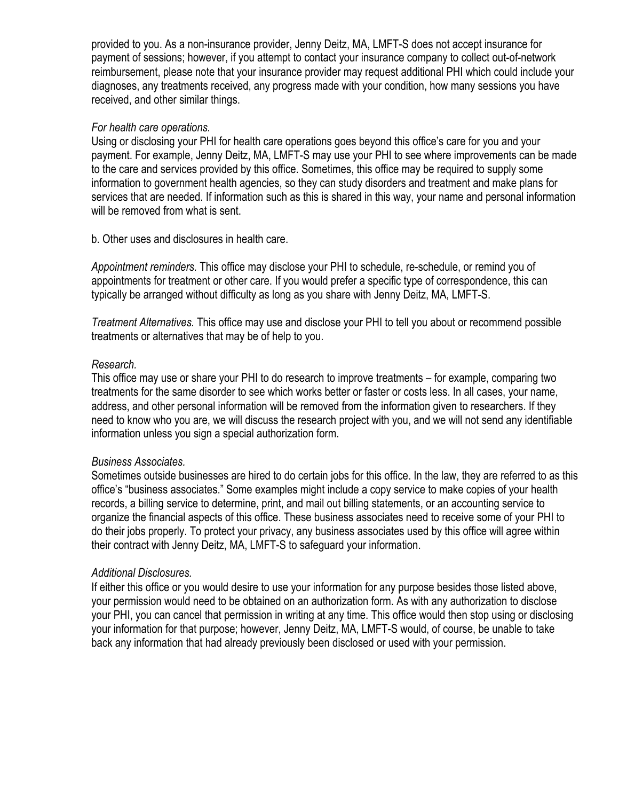provided to you. As a non-insurance provider, Jenny Deitz, MA, LMFT-S does not accept insurance for payment of sessions; however, if you attempt to contact your insurance company to collect out-of-network reimbursement, please note that your insurance provider may request additional PHI which could include your diagnoses, any treatments received, any progress made with your condition, how many sessions you have received, and other similar things.

#### *For health care operations.*

Using or disclosing your PHI for health care operations goes beyond this office's care for you and your payment. For example, Jenny Deitz, MA, LMFT-S may use your PHI to see where improvements can be made to the care and services provided by this office. Sometimes, this office may be required to supply some information to government health agencies, so they can study disorders and treatment and make plans for services that are needed. If information such as this is shared in this way, your name and personal information will be removed from what is sent.

b. Other uses and disclosures in health care.

*Appointment reminders.* This office may disclose your PHI to schedule, re-schedule, or remind you of appointments for treatment or other care. If you would prefer a specific type of correspondence, this can typically be arranged without difficulty as long as you share with Jenny Deitz, MA, LMFT-S.

*Treatment Alternatives.* This office may use and disclose your PHI to tell you about or recommend possible treatments or alternatives that may be of help to you.

#### *Research.*

This office may use or share your PHI to do research to improve treatments – for example, comparing two treatments for the same disorder to see which works better or faster or costs less. In all cases, your name, address, and other personal information will be removed from the information given to researchers. If they need to know who you are, we will discuss the research project with you, and we will not send any identifiable information unless you sign a special authorization form.

### *Business Associates.*

Sometimes outside businesses are hired to do certain jobs for this office. In the law, they are referred to as this office's "business associates." Some examples might include a copy service to make copies of your health records, a billing service to determine, print, and mail out billing statements, or an accounting service to organize the financial aspects of this office. These business associates need to receive some of your PHI to do their jobs properly. To protect your privacy, any business associates used by this office will agree within their contract with Jenny Deitz, MA, LMFT-S to safeguard your information.

### *Additional Disclosures.*

If either this office or you would desire to use your information for any purpose besides those listed above, your permission would need to be obtained on an authorization form. As with any authorization to disclose your PHI, you can cancel that permission in writing at any time. This office would then stop using or disclosing your information for that purpose; however, Jenny Deitz, MA, LMFT-S would, of course, be unable to take back any information that had already previously been disclosed or used with your permission.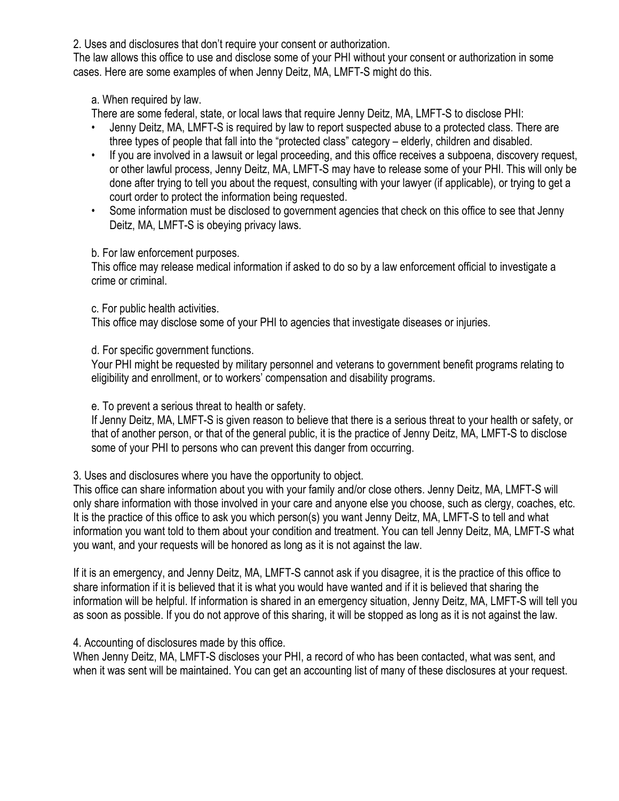2. Uses and disclosures that don't require your consent or authorization.

The law allows this office to use and disclose some of your PHI without your consent or authorization in some cases. Here are some examples of when Jenny Deitz, MA, LMFT-S might do this.

a. When required by law.

There are some federal, state, or local laws that require Jenny Deitz, MA, LMFT-S to disclose PHI:

- Jenny Deitz, MA, LMFT-S is required by law to report suspected abuse to a protected class. There are three types of people that fall into the "protected class" category – elderly, children and disabled.
- If you are involved in a lawsuit or legal proceeding, and this office receives a subpoena, discovery request, or other lawful process, Jenny Deitz, MA, LMFT-S may have to release some of your PHI. This will only be done after trying to tell you about the request, consulting with your lawyer (if applicable), or trying to get a court order to protect the information being requested.
- Some information must be disclosed to government agencies that check on this office to see that Jenny Deitz, MA, LMFT-S is obeying privacy laws.

b. For law enforcement purposes.

This office may release medical information if asked to do so by a law enforcement official to investigate a crime or criminal.

c. For public health activities.

This office may disclose some of your PHI to agencies that investigate diseases or injuries.

d. For specific government functions.

Your PHI might be requested by military personnel and veterans to government benefit programs relating to eligibility and enrollment, or to workers' compensation and disability programs.

e. To prevent a serious threat to health or safety.

If Jenny Deitz, MA, LMFT-S is given reason to believe that there is a serious threat to your health or safety, or that of another person, or that of the general public, it is the practice of Jenny Deitz, MA, LMFT-S to disclose some of your PHI to persons who can prevent this danger from occurring.

3. Uses and disclosures where you have the opportunity to object.

This office can share information about you with your family and/or close others. Jenny Deitz, MA, LMFT-S will only share information with those involved in your care and anyone else you choose, such as clergy, coaches, etc. It is the practice of this office to ask you which person(s) you want Jenny Deitz, MA, LMFT-S to tell and what information you want told to them about your condition and treatment. You can tell Jenny Deitz, MA, LMFT-S what you want, and your requests will be honored as long as it is not against the law.

If it is an emergency, and Jenny Deitz, MA, LMFT-S cannot ask if you disagree, it is the practice of this office to share information if it is believed that it is what you would have wanted and if it is believed that sharing the information will be helpful. If information is shared in an emergency situation, Jenny Deitz, MA, LMFT-S will tell you as soon as possible. If you do not approve of this sharing, it will be stopped as long as it is not against the law.

4. Accounting of disclosures made by this office.

When Jenny Deitz, MA, LMFT-S discloses your PHI, a record of who has been contacted, what was sent, and when it was sent will be maintained. You can get an accounting list of many of these disclosures at your request.